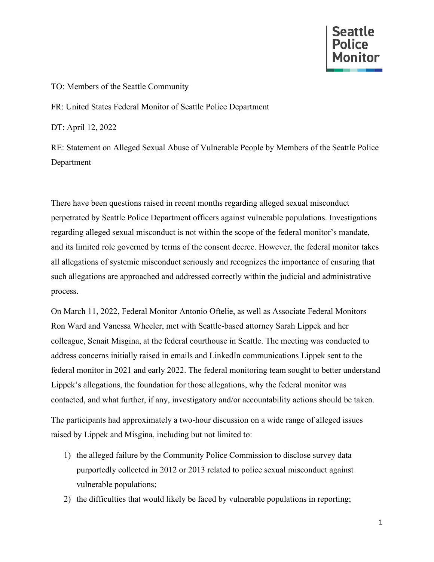

## TO: Members of the Seattle Community

FR: United States Federal Monitor of Seattle Police Department

DT: April 12, 2022

RE: Statement on Alleged Sexual Abuse of Vulnerable People by Members of the Seattle Police Department

There have been questions raised in recent months regarding alleged sexual misconduct perpetrated by Seattle Police Department officers against vulnerable populations. Investigations regarding alleged sexual misconduct is not within the scope of the federal monitor's mandate, and its limited role governed by terms of the consent decree. However, the federal monitor takes all allegations of systemic misconduct seriously and recognizes the importance of ensuring that such allegations are approached and addressed correctly within the judicial and administrative process.

On March 11, 2022, Federal Monitor Antonio Oftelie, as well as Associate Federal Monitors Ron Ward and Vanessa Wheeler, met with Seattle-based attorney Sarah Lippek and her colleague, Senait Misgina, at the federal courthouse in Seattle. The meeting was conducted to address concerns initially raised in emails and LinkedIn communications Lippek sent to the federal monitor in 2021 and early 2022. The federal monitoring team sought to better understand Lippek's allegations, the foundation for those allegations, why the federal monitor was contacted, and what further, if any, investigatory and/or accountability actions should be taken.

The participants had approximately a two-hour discussion on a wide range of alleged issues raised by Lippek and Misgina, including but not limited to:

- 1) the alleged failure by the Community Police Commission to disclose survey data purportedly collected in 2012 or 2013 related to police sexual misconduct against vulnerable populations;
- 2) the difficulties that would likely be faced by vulnerable populations in reporting;